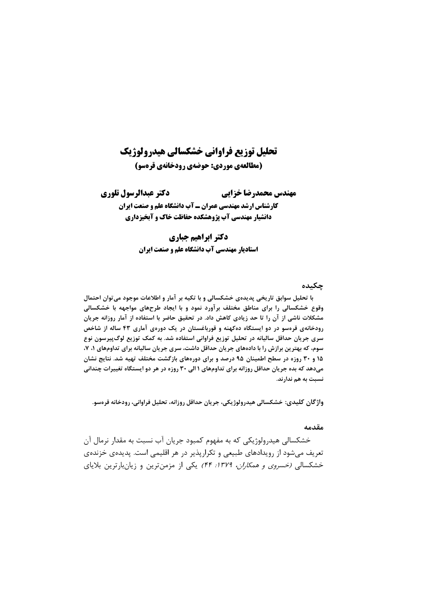# تحلیل توزیع فراوانی خشکسالی هیدرولوژیک (مطالعهی موردی: حوضهی رودخانهی قرهسو)

دكتر عبدالرسول تلوري مهندس محمدرضا خزايي **کارشناس ارشد مهندسی عمران ـ آب دانشگاه علم و صنعت ایران** دانشیار مهندسی آب پژوهشکده حفاظت خاک و آبخیزداری

#### دكتر ابراهيم جباري

**استادیار مهندسی آب دانشگاه علم و صنعت ایران** 

#### حكىدە

با تحلیل سوابق تاریخی پدیدهی خشکسالی و با تکیه بر آمار و اطلاعات موجود میتوان احتمال وقوع خشکسالی را برای مناطق مختلف برآورد نمود و با ایجاد طرحهای مواجهه با خشکسالی مشکلات ناشی از آن را تا حد زیادی کاهش داد. در تحقیق حاضر با استفاده از آمار روزانه جریان رودخانهی قرهسو در دو ایستگاه دهکهنه و قورباغستان در یک دورهی آماری ۴۳ ساله از شاخص سری جریان حداقل سالیانه در تحلیل توزیع فراوانی استفاده شد. به کمک توزیع لوگپیرسون نوع سوم، که بهترین برازش را با دادههای جریان حداقل داشت، سری جریان سالیانه برای تداومهای ۱، ۷، ۱۵ و ۳۰ روزه در سطح اطمینان ۹۵ درصد و برای دورههای بازگشت مختلف تهیه شد. نتایج نشان میدهد که بده جریان حداقل روزانه برای تداومهای ۱ الی ۳۰ روزه در هر دو ایستگاه تغییرات چندانی نسبت به هم ندار ند.

واژگان کلیدی: خشکسالی هیدرولوژیکی، جریان حداقل روزانه، تحلیل فراوانی، رودخانه قرەسو.

#### مقدمه

خشکسالی هیدرولوژیکی که به مفهوم کمبود جریان آب نسبت به مقدار نرمال آن تعریف میشود از رویدادهای طبیعی و تکرارپذیر در هر اقلیمی است. پدیدهی خزندهی خشکسالي *(خسروي و همکاران، ١٣٧٩: ۴۴)* يکي از مزمن ترين و زيانبارترين بلاياي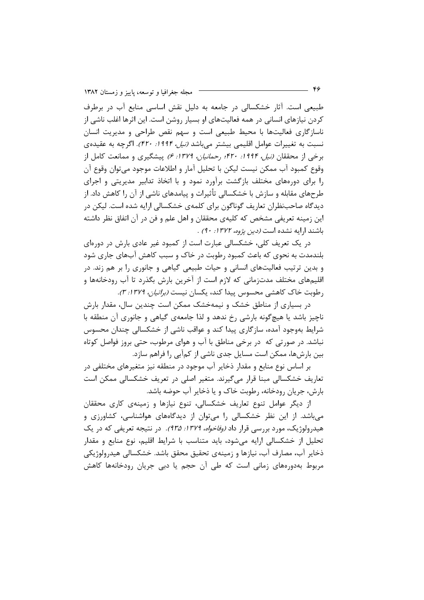مجله جغرافیا و توسعه، پاییز و زمستان ۱۳۸۲

طبیعی است. آثار خشکسالی در جامعه به دلیل نقش اساسی منابع آب در برطرف کردن نیازهای انسانی در همه فعالیتهای او بسیار روشن است. این اثرها اغلب ناشی از ناسازگاری فعالیتها با محیط طبیعی است و سهم نقص طراحی و مدیریت انسان نسبت به تغییرات عوامل اقلیمی بیشتر میباشد *(نیل، ۱۹۹۴: ۴۲۰)*. اگرچه به عقیدهی برخی از محققان *(نیل، ۱۹۹۴: ۴۲۰؛ رحمانیان، ۱۳۷۹: ۶)* پیشگیری و ممانعت کامل از وقوع كمبود آب ممكن نيست ليكن با تحليل آمار و اطلاعات موجود مي توان وقوع آن را برای دورههای مختلف بازگشت برآورد نمود و با اتخاذ تدابیر مدیریتی و اجرای طرحهای مقابله و سازش با خشکسالی تأثیرات و پیامدهای ناشی از آن را کاهش داد. از دیدگاه صاحبنظران تعاریف گوناگون برای کلمهی خشکسالی ارایه شده است. لیکن در این زمینه تعریفی مشخص که کلیهی محققان و اهل علم و فن در آن اتفاق نظر داشته باشند ارايه نشده است *(دين پژوه، ١٣٧٢: ٩٠)*.

در یک تعریف کلی، خشکسالی عبارت است از کمبود غیر عادی بارش در دورهای بلندمدت به نحوی که باعث کمبود رطوبت در خاک و سبب کاهش آبهای جاری شود و بدین ترتیب فعالیتهای انسانی و حیات طبیعی گیاهی و جانوری را بر هم زند. در اقلیمهای مختلف مدتزمانی که لازم است از آخرین بارش بگذرد تا آب رودخانهها و , طوبت خاک کاهشی محسوس پیدا کند، یکسان نیست *(براتیان، ۱۳۷۹: ۳).* 

در بسیاری از مناطق خشک و نیمهخشک ممکن است چندین سال، مقدار بارش ناچیز باشد یا هیچگونه بارشی رخ ندهد و لذا جامعهی گیاهی و جانوری آن منطقه با شرایط بهوجود آمده، سازگاری پیدا کند و عواقب ناشی از خشکسالی چندان محسوس نباشد. در صورتی که در برخی مناطق با آب و هوای مرطوب، حتی بروز فواصل کوتاه بین بارشها، ممکن است مسایل جدی ناشی از کمآبی را فراهم سازد.

بر اساس نوع منابع و مقدار ذخایر آب موجود در منطقه نیز متغیرهای مختلفی در تعاریف خشکسالی مبنا قرار میگیرند. متغیر اصلی در تعریف خشکسالی ممکن است بارش، جريان رودخانه، رطوبت خاک و يا ذخاير آب حوضه باشد.

از دیگر عوامل تنوع تعاریف خشکسالی، تنوع نیازها و زمینهی کاری محققان می باشد. از این نظر خشکسالی را می توان از دیدگاههای هواشناسی، کشاورزی و هیدرولوژیک، مورد بررسی قرار داد *(وفاخواه، ۱۳۷۹: ۹۳۵)*. در نتیجه تعریفی که در یک تحلیل از خشکسالی ارایه می شود، باید متناسب با شرایط اقلیم، نوع منابع و مقدار ذخاير آب، مصارف آب، نيازها و زمينهي تحقيق محقق باشد. خشكسالي هيدرولوژيكي مربوط بەدورەھای زمانی است کە طی آن حجم یا دبی جریان رودخانەھا کاھش

 $-$  ۴۶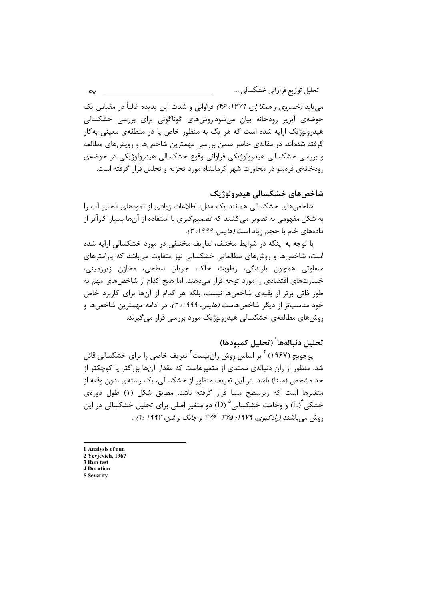می یابد *(خسروی و همکاران، ۱۳۷۹: ۴۶)* فراوانی و شدت این پدیده غالباً در مقیاس یک حوضهی آبریز رودخانه بیان می شود.روشهای گوناگونی برای بررسی خشکسالی هیدرولوژیک ارایه شده است که هر یک به منظور خاص یا در منطقهی معینی بهکار گرفته شدهاند. در مقالهی حاضر ضمن بررسی مهمترین شاخصها و رویشهای مطالعه و بررسی خشکسالی هیدرولوژیکی فراوانی وقوع خشکسالی هیدرولوژیکی در حوضهی رودخانهی قرهسو در مجاورت شهر کرمانشاه مورد تجزیه و تحلیل قرار گرفته است.

### شاخصهای خشکسالی هیدرولوژیک

شاخصهای خشکسالی همانند یک مدل، اطلاعات زیادی از نمودهای ذخایر آب را به شکل مفهومی به تصویر می کشند که تصمیمگیری با استفاده از آنها بسیار کارآتر از دادههای خام با حجم زباد است *(هایس، ۱۹۹۹: ۲).* 

با توجه به اینکه در شرایط مختلف، تعاریف مختلفی در مورد خشکسالی ارایه شده است، شاخصها و روشهای مطالعاتی خشکسالی نیز متفاوت می باشد که پارامترهای متفاوتي همچون بارندگي، رطوبت خاک، جريان سطحي، مخازن زيرزميني، خسارتهای اقتصادی را مورد توجه قرار میدهند. اما هیچ کدام از شاخصهای مهم به طور ذاتی برتر از بقیهی شاخصها نیست، بلکه هر کدام از آنها برای کاربرد خاص خود مناسبتر از دیگر شاخصهاست *(هایس، ۱۹۹۹: ۲).* در ادامه مهمترین شاخصها و روش های مطالعهی خشکسالی هیدرولوژیک مورد بررسی قرار می گیرند.

## تحليل دنيالهها<sup>(</sup> (تحليل كمبودها)

یوجویچ (۱۹۶۷) <sup>۲</sup> بر اساس روش ران تیست<sup>۳</sup> تعریف خاصی را برای خشکسالی قائل شد. منظور از ران دنبالهی ممتدی از متغیرهاست که مقدار آنها بزرگتر یا کوچکتر از حد مشخص (مبنا) باشد. در این تعریف منظور از خشکسالی، یک رشتهی بدون وقفه از متغیرها است که زیرسطح مبنا قرار گرفته باشد. مطابق شکل (۱) طول دورهی خشکی (L) و وخامت خشکسالی  $(D)$  دو متغیر اصلی برای تحلیل خشکسالی در این دوش میرباشند (رادکیوی، ۱۹۷۹: ۲۷۵- ۲۷۶ و جانگ و شین ۱۹۹۳: ۱) .

1 Analysis of run

- 2 Yevjevich, 1967 3 Run test
- **4 Duration**
- 5 Severity

 $\mathbf{v}$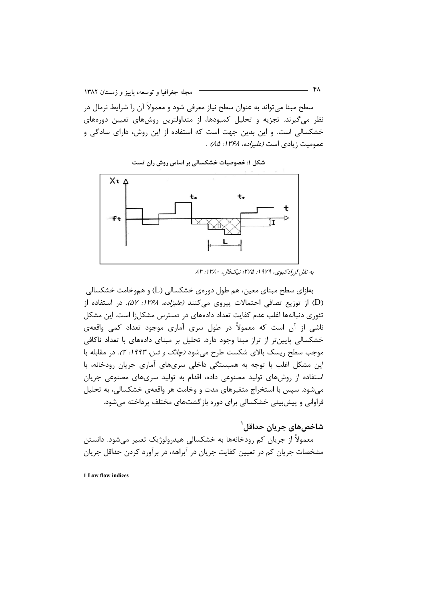- የለ مجله جغرافیا و توسعه، پاییز و زمستان ۱۳۸۲ سطح مبنا میتواند به عنوان سطح نیاز معرفی شود و معمولاً آن را شرایط نرمال در نظر میگیرند. تجزیه و تحلیل کمبودها، از متداولترین روشهای تعیین دورههای خشکسالی است. و این بدین جهت است که استفاده از این روش، دارای سادگی و عمومیت زیادی است *(علیزاده، ۱۳۶۸: ۸۵)* .



شکل ۱: خصوصیات خشکسالی بر اساس روش ران تست

بهازاي سطح مبناي معين، هم طول دورەي خشكسالي (L) و هموخامت خشكسالي (D) از توزیع تصافی احتمالات پیروی میکنند *(علیزاده، ۱۳۶۸: ۵۲).* در استفاده از تئوری دنبالهها اغلب عدم کفایت تعداد دادههای در دسترس مشکل;ا است. این مشکل ناشی از آن است که معمولاً در طول سری آماری موجود تعداد کمی واقعهی خشکسالی پایین تر از تراز مبنا وجود دارد. تحلیل بر مبنای دادههای با تعداد ناکافی موجب سطح ریسک بالای شکست طرح میشود *(چانگ و شن، ۱۹۹۳: ۲)*. در مقابله با این مشکل اغلب با توجه به همبستگی داخلی سریهای آماری جریان رودخانه، با استفاده از روشهای تولید مصنوعی داده، اقدام به تولید سریهای مصنوعی جریان میشود. سپس با استخراج متغیرهای مدت و وخامت هر واقعهی خشکسالی، به تحلیل فراوانی و پیشبینی خشکسالی برای دوره بازگشتهای مختلف پرداخته می شود.

شاخصهاي جريان حداقل`

معمولاً از جریان کم رودخانهها به خشکسالی هیدرولوژیک تعبیر میشود. دانستن مشخصات جریان کم در تعیین کفایت جریان در آبراهه، در برآورد کردن حداقل جریان

1 Low flow indices

به نقل ازراد کیوی، ۱۹۷۹: ۲۷۵؛ نیکفال، ۱۳۸۰: ۸۳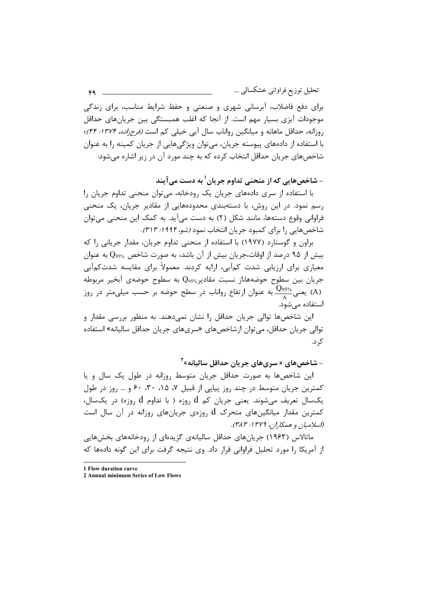تحلیل توزیع فراوانی خشکسالبی …  $FQ =$ برای دفع فاضلاب، آبرسانی شهری و صنعتی و حفظ شرایط مناسب، برای زندگی موجودات آبزی بسیار مهم است. از آنجا که اغلب همبستگی بین جریانهای حداقل روزانه، حداقل ماهانه و میانگین رواناب سال آبی خیلی کم است *(فرجزاده، ۱۳۷۴: ۴۴)*؛ با استفاده از دادههای پیوسته جریان، می توان ویژگیهایی از جریان کمینه را به عنوان شاخصهای جریان حداقل انتخاب کرده که به چند مورد آن در زیر اشاره می شود:

– شاخصهایی که از منحنی تداوم جریان<sup>۱</sup> به دست مے آیند

با استفاده از سری دادههای جریان یک رودخانه، می توان منحنی تداوم جریان را رسم نمود. در این روش، با دستهبندی محدودههایی از مقادیر جریان، یک منحنی فراوانی وقوع دستهها، مانند شکل (۲) به دست میآید. به کمک این منحنی میتوان شاخصهایی را برای کمبود جریان انتخاب نمود *(شو، ۱۹۹۴: ۳۱۳).* 

براون و گوستارد (۱۹۷۷) با استفاده از منحنی تداوم جریان، مقدار جریانی را که بیش از ۹۵ درصد از اوقات،جریان بیش از آن باشد، به صورت شاخص  $Q_{95\%}$  به عنوان معیاری برای ارزیابی شدت کمآبی، ارایه کردند. معمولاً برای مقایسه شدتکمآبی جريان بين سطوح حوضهها،از نسبت مقادير‰Q به سطوح حوضهي آبخير مربوطه بعنی $\frac{\mathrm{Q}_{95\%}}{\Lambda}$  به عنوان ارتفاع رواناب در سطح حوضه بر حسب میلیمتر در روز (A) استفاده می شود.

این شاخصها توالی جریان حداقل را نشان نمیدهند. به منظور بررسی مقدار و توالي جريان حداقل، مي توان ازشاخصهاي «سرىهاي جريان حداقل ساليانه» استفاده ک د.

- شاخصهای « سریهای جریان حداقل سالیانه»<sup>۲</sup>

این شاخصها به صورت حداقل جریان متوسط روزانه در طول یک سال و یا كمترين جريان متوسط در چند روز پياپي از قبيل ٧، ٢٥، ٣٠، ٤٠ و … روز در طول یکسال تعریف می شوند. یعنی جریان کم d روزه ( با تداوم d روزه) در یکسال، کمترین مقدار میانگینهای متحرک  ${\rm d}$  روزهی جریانهای روزانه در آن سال است (اسلاميان و همكاران، ١٣٧٩: ٣٨٣).

ماتالاس (۱۹۶۳) جریانهای حداقل سالیانهی گزیدهای از رودخانههای بخشهایی از آمریکا ۱٫ مورد تحلیل فراوانی قرار داد. وی نتیجه گرفت برای این گونه دادهها که

1 Flow duration curve

<sup>2</sup> Annual minimum Series of Low Flows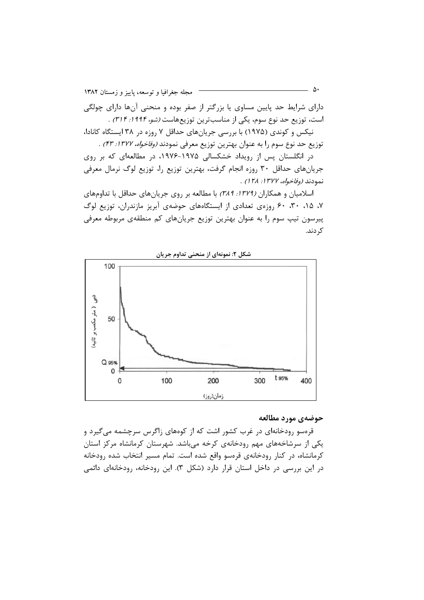$\Delta \cdot$ مجله جغرافيا وتوسعه، پاييز و زمستان ١٣٨٢ دارای شرایط حد پایین مساوی یا بزرگتر از صفر بوده و منحنی آنها دارای چولگی است، توزیع حد نوع سوم، یکی از مناسبترین توزیعهاست *(شو، ۱۹۹۴: ۳۱۴)* .

نیکس و کوندی (۱۹۷۵) با بررسی جریانهای حداقل ۷ روزه در ۳۸ ایستگاه کانادا، توزيع حد نوع سوم را به عنوان بهترين توزيع معرفي نمودند *(وفاخواه، ١٣٧٧: ۴٣)* .

در انگلستان پس از رویداد خشکسالی ۱۹۷۵-۱۹۷۶، در مطالعهای که بر روی جریانهای حداقل ۳۰ روزه انجام گرفت، بهترین توزیع را، توزیع لوگ نرمال معرفی نمودند *(وفاخواه، ١٣٧٧: ١٢٨)* .

اسلامیان و همکاران (١٣٧٩: ٢٨٩) با مطالعه بر روی جریانهای حداقل با تداومهای ۰۷ ۰۱۵ ۰۲۰ . ۶۰ روزهی تعدادی از ایستگاههای حوضهی آبریز مازندران، توزیع لوگ پیرسون تیپ سوم را به عنوان بهترین توزیع جریانهای کم منطقهی مربوطه معرفی کړ دند.



شکل ۲: نمونهای از منحنی تداوم جریان

#### حوضهي مورد مطالعه

قرهسو رودخانهای در غرب کشور اشت که از کوههای زاگرس سرچشمه میگیرد و یکی از سرشاخههای مهم رودخانهی کرخه میباشد. شهرستان کرمانشاه مرکز استان کرمانشاه، در کنار رودخانهی قرمسو واقع شده است. تمام مسیر انتخاب شده رودخانه در این بررسی در داخل استان قرار دارد (شکل ۳). این رودخانه، رودخانهای دائمی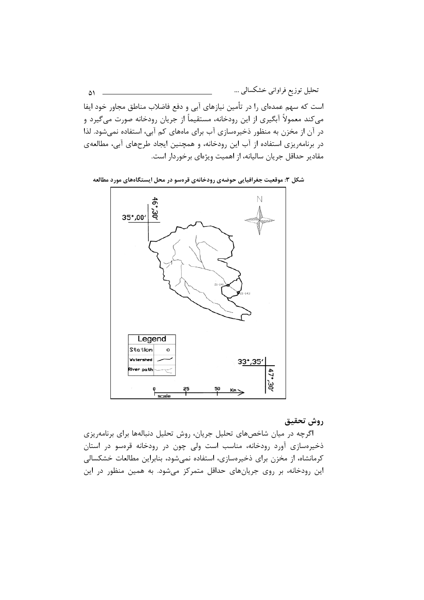تحلیل توزیع فراوانی خشکسالی … ۵۱ است که سهم عمدهای را در تأمین نیازهای آبی و دفع فاضلاب مناطق مجاور خود ایفا میکند معمولاً آبگیری از این رودخانه، مستقیماً از جریان رودخانه صورت میگیرد و در آن از مخزن به منظور ذخیرهسازی آب برای ماههای کم آبی، استفاده نمیشود. لذا در برنامهریزی استفاده از آب این رودخانه، و همچنین ایجاد طرحهای آبی، مطالعهی مقادیر حداقل جریان سالیانه، از اهمیت ویژهای برخوردار است.

شکل ۳: موقعیت جغرافیایی حوضهی رودخانهی قرهسو در محل ایستگاههای مورد مطالعه



روش تحقيق

اگرچه در میان شاخصهای تحلیل جریان، روش تحلیل دنبالهها برای برنامهریزی ذخیرهسازی آورد رودخانه، مناسب است ولی چون در رودخانه قرهسو در استان کرمانشاه، از مخزن برای ذخیرهسازی، استفاده نمیشود، بنابراین مطالعات خشکسالی این رودخانه، بر روی جریانهای حداقل متمرکز می شود. به همین منظور در این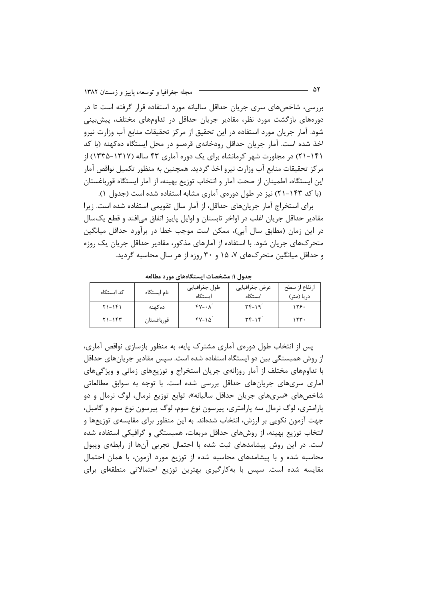بررسی، شاخصهای سری جریان حداقل سالیانه مورد استفاده قرار گرفته است تا در دورههای بازگشت مورد نظر، مقادیر جریان حداقل در تداومهای مختلف، پیشبینی شود. آمار جریان مورد استفاده در این تحقیق از مرکز تحقیقات منابع آب وزارت نیرو اخذ شده است. آمار جریان حداقل رودخانهی قرمسو در محل ایستگاه ده کهنه (با کد ۱۴۱-۲۱) در مجاورت شهر کرمانشاه برای یک دوره آماری ۴۳ ساله (۱۳۱۷-۱۳۳۵) از مرکز تحقیقات منابع آب وزارت نیرو اخذ گردید. همچنین به منظور تکمیل نواقص آمار این ایستگاه، اطمینان از صحت آمار و انتخاب توزیع بهینه، از آمار ایستگاه قورباغستان (با کد ۱۴۳–۲۱) نیز در طول دوروی آماری مشابه استفاده شده است (جدول ۱).

برای استخراج آمار جریانهای حداقل، از آمار سال تقویمی استفاده شده است. زیرا مقادیر حداقل جریان اغلب در اواخر تابستان و اوایل پاییز اتفاق میافتد و قطع یکسال در این زمان (مطابق سال آبی)، ممکن است موجب خطا در برآورد حداقل میانگین متحرکهای جریان شود. با استفاده از آمارهای مذکور، مقادیر حداقل جریان یک روزه و حداقل میانگین متحرکهای ۷، ۱۵ و ۳۰ روزه از هر سال محاسبه گردید.

| کد ایستگاه | نام ایستگاه | طول جغرافيايي<br>ایستگاه | عرض جغرافيايي<br>اىستگاە                        | ارتفاع از سطح<br>در یا (متر) |
|------------|-------------|--------------------------|-------------------------------------------------|------------------------------|
| $51 - 151$ | دەكھنە      | $fV - \lambda$           | $\mathsf{r} \mathsf{r} - \mathsf{r} \mathsf{r}$ | ۱۲۶۰                         |
| $Y1-155$   | قورباغستان  | $fV-\Delta$              | $\mathbf{r} \mathbf{r} - \mathbf{r}$            | ۱۲۳۰                         |

جدول ۱: مشخصات ایستگاههای مورد مطالعه

پس از انتخاب طول دورهی آماری مشترک پایه، به منظور بازسازی نواقص آماری، از روش همبستگی بین دو ایستگاه استفاده شده است. سپس مقادیر جریانهای حداقل با تداومهای مختلف از آمار روزانهی جریان استخراج و توزیعهای زمانی و ویژگیهای آماری سریهای جریانهای حداقل بررسی شده است. با توجه به سوابق مطالعاتی شاخصهای «سریهای جریان حداقل سالیانه»، توابع توزیع نرمال، لوگ نرمال و دو پارامتری، لوگ نرمال سه پارامتری، پیرسون نوع سوم، لوگ پیرسون نوع سوم و گامبل، جهت آزمون نکویی بر ارزش، انتخاب شدهاند. به این منظور برای مقایسهی توزیعها و انتخاب توزیع بهینه، از روشهای حداقل مربعات، همبستگی و گرافیکی استفاده شده است. در این روش پیشامدهای ثبت شده با احتمال تجربی آنها از رابطهی ویبول محاسبه شده و با پیشامدهای محاسبه شده از توزیع مورد آزمون، با همان احتمال مقایسه شده است. سپس با بهکارگیری بهترین توزیع احتمالاتی منطقهای برای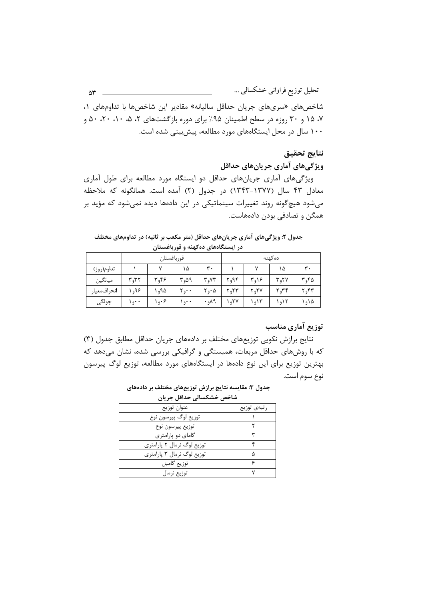تحلیل توزیع فراوانی خشکسالی …  $\Delta r =$ شاخصهای «سریهای جریان حداقل سالیانه» مقادیر این شاخصها با تداومهای ۱، ۰۷ ۱۵ و ۳۰ روزه در سطح اطمینان ۹۵٪ برای دوره بازگشتهای ۲، ۵، ۱۰، ۲۰، ۵۰ و ۱۰۰ سال در محل ایستگاههای مورد مطالعه، پیش بینی شده است.

## نتايج تحقيق

ویژگیهای آماری جریانهای حداقل

ویژگیهای آماری جریانهای حداقل دو ایستگاه مورد مطالعه برای طول آماری معادل ۴۳ سال (۱۳۷۷-۱۳۴۳) در جدول (۲) آمده است. همانگونه که ملاحظه میشود هیچگونه روند تغییرات سینماتیکی در این دادهها دیده نمیشود که مؤید بر همگن و تصادفی بودن دادههاست.

جدول ۲: ویژگیهای آماری جریانهای حداقل (متر مکعب بر ثانیه) در تداومهای مختلف در ایستگاههای دهکهنه و قورباغستان

|             | قورباغستان |      |           |               | دەكھنە |      |      |       |
|-------------|------------|------|-----------|---------------|--------|------|------|-------|
| تداوم(روز)  |            |      | ۱۵        | ٣٠            |        |      | ۱۵   | ٣.    |
| ميانگين     | ۳.۳۲       | ۴٫۴۶ | ۹۵۹ م     | ۷۳م ۳         | ۹۴,۲   | ۲۹۱۶ | ۲٫۲۷ | ۲٫۴۵  |
| انحرافمعيار | ۹۶م ۱      | ۱۹۵۵ | $Y_{0}$ . | ۰۵ که ۲       | ۲٫۲۳   | ۲٫۲۷ | ۲٫۳۴ | ۶۳م ۲ |
| چولگى       | ۰ ۰ ۱      | ۱۹۰۶ | ۰ ۰و ۱    | $PA_{\rho}$ . | ۲۷م ۱  | ۱٫۱۳ | ۱۵۱۲ | ۱۵۵ ( |

#### توزیع آماری مناسب

نتايج برازش نكويي توزيعهاي مختلف بر دادههاي جريان حداقل مطابق جدول (٣) که با روشهای حداقل مربعات، همبستگی و گرافیکی بررسی شده، نشان میدهد که بهترین توزیع برای این نوع دادهها در ایستگاههای مورد مطالعه، توزیع لوگ پیرسون نوع سوم است.

جدول ۳: مقایسه نتایج برازش توزیعهای مختلف بر دادههای

شاخص خشكسالى حداقل جريان

| عنوان توزيع                | رتبەي توزيع |
|----------------------------|-------------|
| توزيع لوگ پيرسون نوع       |             |
| توزيع پيرسون نوع           |             |
| گامای دو پارامتری          |             |
| توزیع لوگ نرمال ۲ پارامتری |             |
| توزیع لوگ نرمال ۳ پارامتری | Λ           |
| توزيع گامبل                |             |
| توزیع نرمال                |             |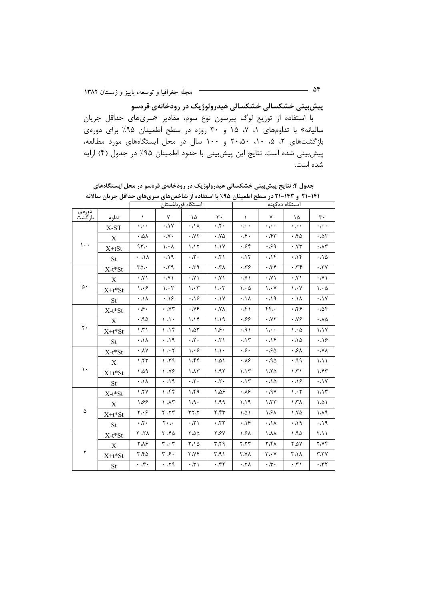**پیشبیی خشکسالی خشکسالی هیدرولوژیک در رودخانهی قرهسو** 

با استفاده از توزیع لوگ پیرسون نوع سوم، مقادیر «سریهای حداقل جریان سالیانه» با تداومهای ۱، ۷، ۱۵ و ۳۰ روزه در سطح اطمینان ۹۵٪ برای دورهی بازگشتهای ۲، ۵۰، ۲۰،۵۰ و ۱۰۰ سال در محل ایستگاههای مورد مطالعه، پیش بینی شده است. نتایج این پیش بینی با حدود اطمینان ۹۵٪ در جدول (۴) ارایه شده است.

|                         |             | ايستگاه قورباغستان        |                                 |                                 |                                 | ایستگاه ده کهنه                 |                                  |                                            |                                 |
|-------------------------|-------------|---------------------------|---------------------------------|---------------------------------|---------------------------------|---------------------------------|----------------------------------|--------------------------------------------|---------------------------------|
| دورەي<br>بازگشت         | تداوم       | $\lambda$                 | Y                               | ١۵                              | $\mathbf{r}$ .                  | $\lambda$                       | $\mathsf{V}$                     | ١۵                                         | $\mathbf{r}$ .                  |
|                         | X-ST        | $\ddotsc$                 | $\mathsf{Y}\mathsf{L}\cdot$     | $\lambda$ /, $\cdot$            | $\cdot 7.$                      | $\ddotsc$                       | $\ddotsc$                        | $\ddotsc$                                  | $\ddotsc$                       |
|                         | X           | $\cdot$ . $\Delta\lambda$ | $\cdot \gamma$ .                | $\cdot$ . $\vee\curlyvee$       | $\cdot$ . $\vee \vartriangle$   | $\cdot$ .                       | $\cdot$ , $\uparrow\uparrow$     | .50                                        | $\cdot \Delta \Upsilon$         |
| $\mathcal{L}$ .         | $X+tSt$     | 95.                       | $\lambda \cdot \lambda$         | 1.15                            | 1.1Y                            | .84                             | .99                              | $\cdot$ . $\vee\tau$                       | $\cdot \Lambda r$               |
|                         | <b>St</b>   | $\wedge$ /, $\cdot$       | .19                             | $\cdot 7 \cdot$                 | $\cdot 7$                       | .11                             | .14                              | .15                                        | .10                             |
|                         | X-t*St      | $r_0.$                    | $r\tau$ .                       | $P\mathcal{T}_2$ .              | $\lambda \Upsilon \cdot$        | $\cdot$ $\uparrow$ $\sim$       | 77.                              | 77.                                        | $\mathsf{y}\mathsf{y}$ .        |
|                         | $\mathbf X$ | $\cdot$ . $\vee$ $\wedge$ | $\cdot$ . $\vee$ $\vee$         | $\cdot$ . $\vee$ $\wedge$       | $\cdot$ . $\vee$ $\wedge$       | $\cdot \sqrt{1}$                | $\cdot$ . $\vee$ $\wedge$        | $\cdot$ . $\vee$ $\vee$                    | $\cdot$ . $\vee$ )              |
| $\Delta$ .              | X+t*St      | ۱،۰۶                      | $\mathcal{N} \cdot \mathcal{N}$ | $\mathcal{N} \cdot \mathcal{N}$ | $\mathcal{N} \cdot \mathcal{N}$ | $\mathcal{L} \cdot \mathcal{L}$ | $\mathcal{N} \cdot \mathcal{N}$  | $\mathcal{N} \cdot \mathcal{N}$            | $\mathcal{N} \cdot \mathcal{A}$ |
|                         | <b>St</b>   | $\lambda$ / $\cdot$       | .19                             | .19                             | $\mathsf{Y}$                    | $\lambda/\lambda$               | .19                              | $\cdot \Lambda$                            | $\cdot \cdot \cdot$             |
| $\mathsf{r}\cdot$       | X-t*St      | .8.                       | YY.                             | $\cdot$ . $\vee$                | $\lambda$ Y $\lambda$           | $\cdot$ . $\uparrow$ $\wedge$   | FF.                              | .89.                                       | $\cdot \Delta f$                |
|                         | X           | .40                       | $\setminus \setminus \cdot$     | 1.19                            | 1.19                            | .89                             | $\cdot$ . $\vee\vee$             | $\cdot$ . $\vee\circ$                      | $\cdot$ $\land \Diamond$        |
|                         | $X+t*St$    | $\mathcal{N}$             | 1.15                            | $\Lambda \Delta \tau$           | ۰۶،                             | .91                             | $\mathcal{L}$ .                  | $\mathcal{L} \cdot \mathcal{L}$            | 1.1Y                            |
|                         | St          | $\lambda/\lambda$         | $P_{1}$ .                       | $\cdot 7 \cdot$                 | $\cdot$ . $\uparrow$ )          | .15                             | .14                              | .10                                        | .19                             |
| $\mathcal{L}$<br>۵<br>٢ | $X-t*St$    | $\cdot \lambda \vee$      | $\mathcal{M}$                   | $\mathcal{L} \cdot \mathcal{F}$ | $\setminus \setminus \cdot$     | $\cdot$ .                       | $\cdot \, \mathcal{S} \, \Delta$ | ٠،۶۸                                       | $\lambda\gamma$ .               |
|                         | X           | 1.77                      | $P T.$ (                        | ۱،۴۴                            | ۱،۵۱                            | $\cdot \lambda$ ۶               | .90                              | P.P.                                       | 1.11                            |
|                         | $X+t*St$    | ۵۵۹،                      | Y.                              | $\Lambda \Lambda$ ۳             | 1.97                            | 1.17                            | 1.70                             | $\upharpoonright \uparrow \upharpoonright$ | 1.57                            |
|                         | <b>St</b>   | $\lambda$ / $\cdot$       | $P \sim$                        | $\cdot 7 \cdot$                 | $\cdot 7.$                      | .15                             | .10                              | $\cdot$ $\cdot$ $\cdot$                    | .1V                             |
|                         | $X-t*St$    | $V \uparrow$              | 77.1                            | ۱،۴۹                            | ۱،۵۶                            | ۰٬۸۶                            | $\cdot$ .9 $\vee$                | $\mathcal{N} \cdot \mathcal{N}$            | 1.15                            |
|                         | X           | ۶۶ ۱                      | 7 <sub>A</sub>                  | 1.9.                            | ۱،۹۹                            | 1.19                            | 1.57                             | $\lambda \tau \lambda$                     | ۱،۵۱                            |
|                         | X+t*St      | ۲،۰۶                      | 77.7                            | 7.77                            | ۲،۴۳                            | $\Lambda$                       | ۱،۶۸                             | 1.90                                       | P A.                            |
|                         | <b>St</b>   | $\cdot 7 \cdot$           | $\mathbf{y} \cdot \mathbf{y}$   | $\sqrt{7}$                      | .77.                            | .19                             | $\lambda$ / $\cdot$              | .19                                        | .19                             |
|                         | X-t*St      | $\lambda$ 7.              | ۲.۴۵                            | 6.00                            | ۲،۶۷                            | ۱،۶۸                            | ۱،۸۸                             | 1.90                                       | 7.11                            |
|                         | X           | ۲،۸۶                      | $\tau$ . $\tau$                 | ۳،۱۵                            | ۳،۲۹                            | ٢.٢٣                            | ۲،۴۸                             | $Y \triangle V$                            | <b>7.YF</b>                     |
|                         | X+t*St      | ۳.۴۵                      | ۶۰. ۳                           | ۳،۷۴                            | ۳،۹۱                            | <b>XY.7</b>                     | $\mathbf{r}\cdot\mathbf{v}$      | ۰۱۸ ۲،                                     | $Y^{\star}Y$                    |
|                         | <b>St</b>   | $\cdot$ 7.                | .79                             | $\iota \, \tau \, \cdot$        | $\mathbf{r}$                    | $\lambda\, \gamma$ .            | $\cdot$ , $\uparrow$ .           | $\cdot \tau \wedge$                        | $\cdot$ ، ۳۲                    |

جدول ۴: نتایج پیشبینی خشکسالی هیدرولوژیک در رودخانهی قرەسو در محل ایستگاههای **11-1۴۱ و ۱۴۳-۲۱ در سطح اط**مینان ۹۵٪ با استفاده از شاخصهای سریهای حداقل جریان سالانه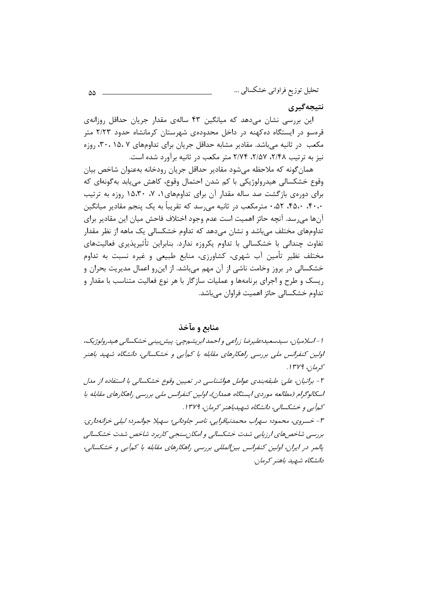#### نتيجەگيرى

این بررسی نشان میدهد که میانگین ۴۳ سالهی مقدار جریان حداقل روزانهی قرهسو در ایستگاه دهکهنه در داخل محدودهی شهرستان کرمانشاه حدود ۲/۲۳ متر مکعب در ثانیه می باشد. مقادیر مشابه حداقل جریان برای تداومهای ۲۰، ۱۵، ۲۰، روزه نیز به ترتیب ۲/۴۸، ۲/۵۷، ۲/۷۴ متر مکعب در ثانیه برآورد شده است.

همان گونه که ملاحظه مے شود مقادیر حداقل جریان رودخانه بهعنوان شاخص بیان وقوع خشکسالي هيدرولوژيکي با کم شدن احتمال وقوع، کاهش مي يابد به گونهاي که برای دورهی بازگشت صد ساله مقدار آن برای تداومهای ۰، ۷، ۱۵،۳۰ روزه به ترتیب ۴۰،۰، ۴۵،۰، ۵۲، مترمکعب در ثانیه می رسد که تقریباً به یک پنجم مقادیر میانگین آنها می٫رسد. آنچه حائز اهمیت است عدم وجود اختلاف فاحش میان این مقادیر برای تداومهای مختلف میباشد و نشان میدهد که تداوم خشکسالی یک ماهه از نظر مقدار تفاوت چندانی با خشکسالی با تداوم یکروزه ندارد. بنابراین تأثیرپذیری فعالیتهای مختلف نظیر تأمین آب شهری، کشاورزی، منابع طبیعی و غیره نسبت به تداوم خشکسالی در بروز وخامت ناشی از آن مهم میباشد. از این رو اعمال مدیریت بحران و ریسک و طرح و اجرای برنامهها و عملیات سازگار با هر نوع فعالیت متناسب با مقدار و تداوم خشکسالی حائز اهمیت فراوان میباشد.

#### منابع و مآخذ

ا - اسلامیان، سیدسعید؛علیرضا زراعی و احمد ابریشمچی: پیش بینی خشکسالی هیدرولوژیک، اولین کنفرانس ملی بررسی راهکارهای مقابله با کمآبی و خشکسالی، دانشگاه شهید باهنر كرمان، ۱۳۷۹. ۲- براتیان، علی: طبقهبندی عوامل هواشناسی در تعیین وقوع خشکسالی با استفاده از مدل اسکالوگرام (مطالعه موردی ایستگاه همدان)، اولین کنفرانس ملی بررسی راهکارهای مقابله با کهآبی و خشکسالی، دانشگاه شهیدباهنر کرمان، ۱۳۷۹. ۳- خسروي، محمود؛ سهراب محمدنياقرايي، ناصر جاوداني؛ سهيلا جوانمرد؛ ليلي خزانهداري: بررسی شاخص های ارزیابی شدت خشکسالی و امکان سنجی کاربرد شاخص شدت خشکسالی پالمر در ایران، اولین کنفرانس بین المللی بررسی راهکارهای مقابله با کمآبی و خشکسالی، دانشگاه شهید باهنر کرمان.